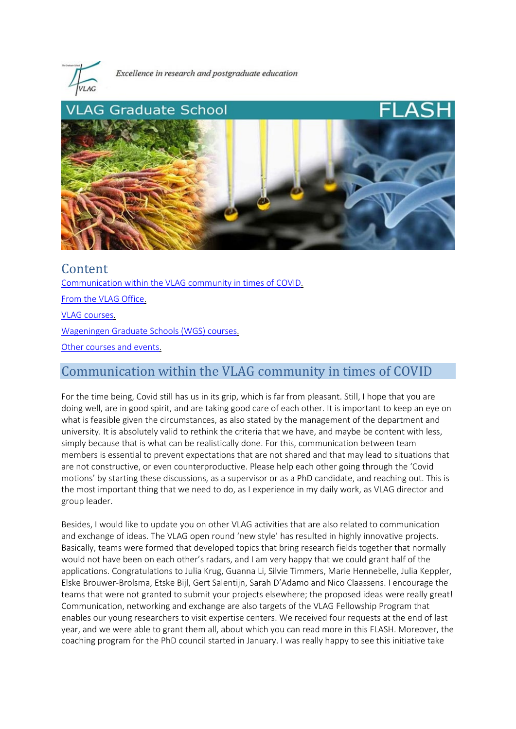

Excellence in research and postgraduate education



Content [Communication within the VLAG community in times of COVID.](#page-0-0)  [From the VLAG Office.](#page-1-0)  [VLAG courses.](#page-2-0)  [Wageningen Graduate Schools \(WGS\) courses.](#page-3-0)  [Other courses and events.](#page-4-0) 

# <span id="page-0-0"></span>Communication within the VLAG community in times of COVID

For the time being, Covid still has us in its grip, which is far from pleasant. Still, I hope that you are doing well, are in good spirit, and are taking good care of each other. It is important to keep an eye on what is feasible given the circumstances, as also stated by the management of the department and university. It is absolutely valid to rethink the criteria that we have, and maybe be content with less, simply because that is what can be realistically done. For this, communication between team members is essential to prevent expectations that are not shared and that may lead to situations that are not constructive, or even counterproductive. Please help each other going through the 'Covid motions' by starting these discussions, as a supervisor or as a PhD candidate, and reaching out. This is the most important thing that we need to do, as I experience in my daily work, as VLAG director and group leader.

Besides, I would like to update you on other VLAG activities that are also related to communication and exchange of ideas. The VLAG open round 'new style' has resulted in highly innovative projects. Basically, teams were formed that developed topics that bring research fields together that normally would not have been on each other's radars, and I am very happy that we could grant half of the applications. Congratulations to Julia Krug, Guanna Li, Silvie Timmers, Marie Hennebelle, Julia Keppler, Elske Brouwer-Brolsma, Etske Bijl, Gert Salentijn, Sarah D'Adamo and Nico Claassens. I encourage the teams that were not granted to submit your projects elsewhere; the proposed ideas were really great! Communication, networking and exchange are also targets of the VLAG Fellowship Program that enables our young researchers to visit expertise centers. We received four requests at the end of last year, and we were able to grant them all, about which you can read more in this FLASH. Moreover, the coaching program for the PhD council started in January. I was really happy to see this initiative take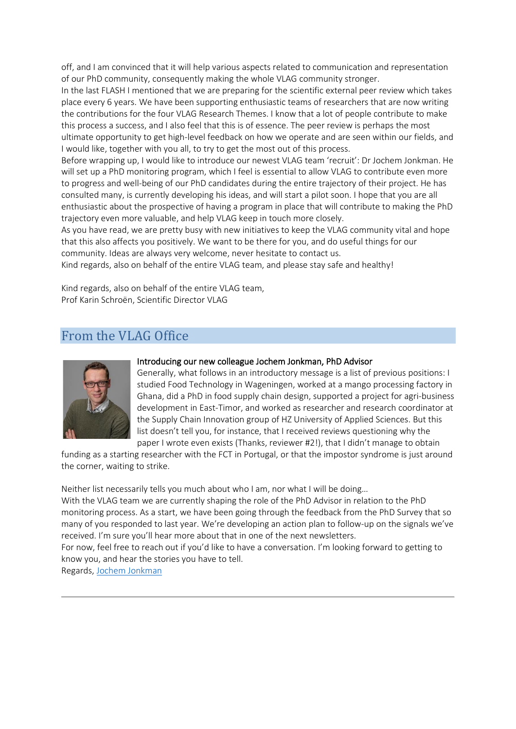off, and I am convinced that it will help various aspects related to communication and representation of our PhD community, consequently making the whole VLAG community stronger.

In the last FLASH I mentioned that we are preparing for the scientific external peer review which takes place every 6 years. We have been supporting enthusiastic teams of researchers that are now writing the contributions for the four VLAG Research Themes. I know that a lot of people contribute to make this process a success, and I also feel that this is of essence. The peer review is perhaps the most ultimate opportunity to get high-level feedback on how we operate and are seen within our fields, and I would like, together with you all, to try to get the most out of this process.

Before wrapping up, I would like to introduce our newest VLAG team 'recruit': Dr Jochem Jonkman. He will set up a PhD monitoring program, which I feel is essential to allow VLAG to contribute even more to progress and well-being of our PhD candidates during the entire trajectory of their project. He has consulted many, is currently developing his ideas, and will start a pilot soon. I hope that you are all enthusiastic about the prospective of having a program in place that will contribute to making the PhD trajectory even more valuable, and help VLAG keep in touch more closely.

As you have read, we are pretty busy with new initiatives to keep the VLAG community vital and hope that this also affects you positively. We want to be there for you, and do useful things for our community. Ideas are always very welcome, never hesitate to contact us.

Kind regards, also on behalf of the entire VLAG team, and please stay safe and healthy!

Kind regards, also on behalf of the entire VLAG team, Prof Karin Schroën, Scientific Director VLAG

## <span id="page-1-0"></span>From the VLAG Office



#### Introducing our new colleague Jochem Jonkman, PhD Advisor

Generally, what follows in an introductory message is a list of previous positions: I studied Food Technology in Wageningen, worked at a mango processing factory in Ghana, did a PhD in food supply chain design, supported a project for agri-business development in East-Timor, and worked as researcher and research coordinator at the Supply Chain Innovation group of HZ University of Applied Sciences. But this list doesn't tell you, for instance, that I received reviews questioning why the paper I wrote even exists (Thanks, reviewer #2!), that I didn't manage to obtain

funding as a starting researcher with the FCT in Portugal, or that the impostor syndrome is just around the corner, waiting to strike.

Neither list necessarily tells you much about who I am, nor what I will be doing…

With the VLAG team we are currently shaping the role of the PhD Advisor in relation to the PhD monitoring process. As a start, we have been going through the feedback from the PhD Survey that so many of you responded to last year. We're developing an action plan to follow-up on the signals we've received. I'm sure you'll hear more about that in one of the next newsletters.

For now, feel free to reach out if you'd like to have a conversation. I'm looking forward to getting to know you, and hear the stories you have to tell.

Regards, [Jochem Jonkman](mailto:jochem.jonkman@wur.nl)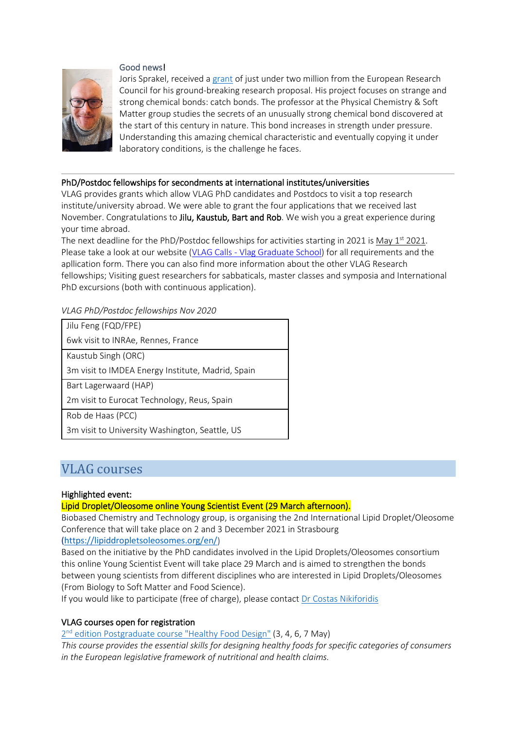## Good news!



Joris Sprakel, received [a grant](https://eur03.safelinks.protection.outlook.com/?url=https%3A%2F%2Fwww.wur.nl%2Fen%2Fnews-wur%2Fshow-home%2FRutgerd-Boelens-and-Joris-Sprakel-to-receive-substantial-ERC-grant.htm&data=04%7C01%7Cvlag%40wur.nl%7C8801fdaec24248612fb708d8dfd6fb8e%7C27d137e5761f4dc1af88d26430abb18f%7C0%7C0%7C637505461792072354%7CUnknown%7CTWFpbGZsb3d8eyJWIjoiMC4wLjAwMDAiLCJQIjoiV2luMzIiLCJBTiI6Ik1haWwiLCJXVCI6Mn0%3D%7C1000&sdata=ymgy0N2sWy2qm%2B92Fc0Ip4JKXsFsTwY4MoSo7sHr4p0%3D&reserved=0) of just under two million from the European Research Council for his ground-breaking research proposal. His project focuses on strange and strong chemical bonds: catch bonds. The professor at the Physical Chemistry & Soft Matter group studies the secrets of an unusually strong chemical bond discovered at the start of this century in nature. This bond increases in strength under pressure. Understanding this amazing chemical characteristic and eventually copying it under laboratory conditions, is the challenge he faces.

#### PhD/Postdoc fellowships for secondments at international institutes/universities

VLAG provides grants which allow VLAG PhD candidates and Postdocs to visit a top research institute/university abroad. We were able to grant the four applications that we received last November. Congratulations to Jilu, Kaustub, Bart and Rob. We wish you a great experience during your time abroad.

The next deadline for the PhD/Postdoc fellowships for activities starting in 2021 is May  $1<sup>st</sup>$  2021. Please take a look at our website (VLAG Calls - [Vlag Graduate School\)](https://eur03.safelinks.protection.outlook.com/?url=https%3A%2F%2Fwww.vlaggraduateschool.nl%2Fen%2Fresearch-1%2FVLAG-Calls.htm&data=04%7C01%7Cvlag%40wur.nl%7C8801fdaec24248612fb708d8dfd6fb8e%7C27d137e5761f4dc1af88d26430abb18f%7C0%7C0%7C637505461792082351%7CUnknown%7CTWFpbGZsb3d8eyJWIjoiMC4wLjAwMDAiLCJQIjoiV2luMzIiLCJBTiI6Ik1haWwiLCJXVCI6Mn0%3D%7C1000&sdata=O1REy5JLhdTuYlvAbJYEKDWA80s%2B9A1OAeYMQBu75%2FM%3D&reserved=0) for all requirements and the apllication form. There you can also find more information about the other VLAG Research fellowships; Visiting guest researchers for sabbaticals, master classes and symposia and International PhD excursions (both with continuous application).

*VLAG PhD/Postdoc fellowships Nov 2020*

| Jilu Feng (FQD/FPE)                               |
|---------------------------------------------------|
| 6wk visit to INRAe, Rennes, France                |
| Kaustub Singh (ORC)                               |
| 3m visit to IMDEA Energy Institute, Madrid, Spain |
| Bart Lagerwaard (HAP)                             |
| 2m visit to Eurocat Technology, Reus, Spain       |
| Rob de Haas (PCC)                                 |
| 3m visit to University Washington, Seattle, US    |

## <span id="page-2-0"></span>VLAG courses

## Highlighted event:

## Lipid Droplet/Oleosome online Young Scientist Event (29 March afternoon).

Biobased Chemistry and Technology group, is organising the 2nd International Lipid Droplet/Oleosome Conference that will take place on 2 and 3 December 2021 in Strasbourg

[\(https://lipiddropletsoleosomes.org/en/\)](https://eur03.safelinks.protection.outlook.com/?url=https%3A%2F%2Flipiddropletsoleosomes.org%2Fen%2F&data=04%7C01%7Cvlag%40wur.nl%7C8801fdaec24248612fb708d8dfd6fb8e%7C27d137e5761f4dc1af88d26430abb18f%7C0%7C0%7C637505461792082351%7CUnknown%7CTWFpbGZsb3d8eyJWIjoiMC4wLjAwMDAiLCJQIjoiV2luMzIiLCJBTiI6Ik1haWwiLCJXVCI6Mn0%3D%7C1000&sdata=6OwaSQUkqhJenOAVNiPOraJExr2ZCKvB8VrWGDLNnB4%3D&reserved=0)

Based on the initiative by the PhD candidates involved in the Lipid Droplets/Oleosomes consortium this online Young Scientist Event will take place 29 March and is aimed to strengthen the bonds between young scientists from different disciplines who are interested in Lipid Droplets/Oleosomes (From Biology to Soft Matter and Food Science).

If you would like to participate (free of charge), please contact [Dr Costas Nikiforidis](mailto:costas.nikiforidis@wur.nl)

## VLAG courses open for registration

2<sup>nd</sup> [edition Postgraduate course "Healthy Food Design"](https://eur03.safelinks.protection.outlook.com/?url=https%3A%2F%2Fwww.vlaggraduateschool.nl%2Fen%2Fcourses%2Fcourse%2FHFD20.htm&data=04%7C01%7Cvlag%40wur.nl%7C8801fdaec24248612fb708d8dfd6fb8e%7C27d137e5761f4dc1af88d26430abb18f%7C0%7C0%7C637505461792092344%7CUnknown%7CTWFpbGZsb3d8eyJWIjoiMC4wLjAwMDAiLCJQIjoiV2luMzIiLCJBTiI6Ik1haWwiLCJXVCI6Mn0%3D%7C1000&sdata=mnYoztuYfyxwYPyx6qHrvgNOuTWl9x7HQSTivaA5Bv4%3D&reserved=0) (3, 4, 6, 7 May)

*This course provides the essential skills for designing healthy foods for specific categories of consumers in the European legislative framework of nutritional and health claims.*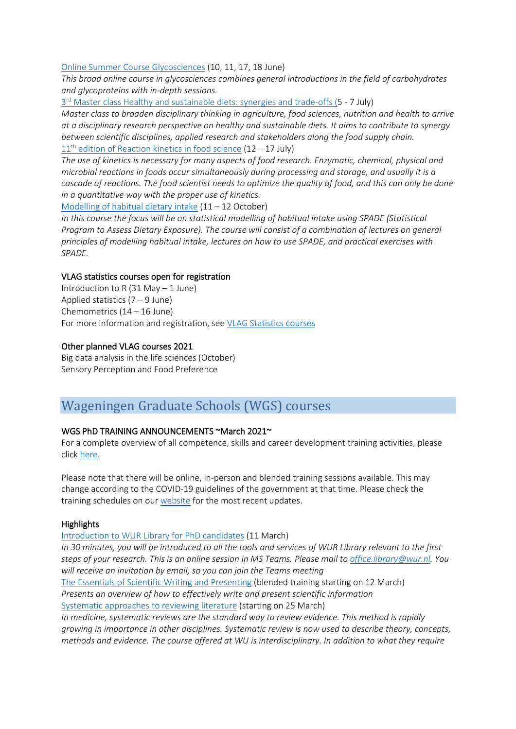#### [Online Summer Course Glycosciences](https://eur03.safelinks.protection.outlook.com/?url=https%3A%2F%2Fwww.vlaggraduateschool.nl%2Fen%2Fcourses%2Fcourse%2FGlycosciences21.htm&data=04%7C01%7Cvlag%40wur.nl%7C8801fdaec24248612fb708d8dfd6fb8e%7C27d137e5761f4dc1af88d26430abb18f%7C0%7C0%7C637505461792102343%7CUnknown%7CTWFpbGZsb3d8eyJWIjoiMC4wLjAwMDAiLCJQIjoiV2luMzIiLCJBTiI6Ik1haWwiLCJXVCI6Mn0%3D%7C1000&sdata=pdPM6q1%2B%2BjWI9ucUr%2FNkLHCtp67zVGFCxCRI4Bhj1LA%3D&reserved=0) (10, 11, 17, 18 June)

*This broad online course in glycosciences combines general introductions in the field of carbohydrates and glycoproteins with in-depth sessions.*

3rd [Master class Healthy and sustainable diets: synergies and trade-offs \(5](https://eur03.safelinks.protection.outlook.com/?url=https%3A%2F%2Fwww.vlaggraduateschool.nl%2Fen%2Fcourses%2Fcourse%2FHSD21.htm&data=04%7C01%7Cvlag%40wur.nl%7C8801fdaec24248612fb708d8dfd6fb8e%7C27d137e5761f4dc1af88d26430abb18f%7C0%7C0%7C637505461792102343%7CUnknown%7CTWFpbGZsb3d8eyJWIjoiMC4wLjAwMDAiLCJQIjoiV2luMzIiLCJBTiI6Ik1haWwiLCJXVCI6Mn0%3D%7C1000&sdata=pcVpPhPSuMD3hLySEDJzVkpOEMhzR8uokoFTlqiq5nY%3D&reserved=0) - 7 July)

*Master class to broaden disciplinary thinking in agriculture, food sciences, nutrition and health to arrive at a disciplinary research perspective on healthy and sustainable diets. It aims to contribute to synergy between scientific disciplines, applied research and stakeholders along the food supply chain.*  $11<sup>th</sup>$  [edition of Reaction kinetics in food science](https://eur03.safelinks.protection.outlook.com/?url=https%3A%2F%2Fwww.vlaggraduateschool.nl%2Fen%2Fcourses%2Fcourse%2FRK20.htm&data=04%7C01%7Cvlag%40wur.nl%7C8801fdaec24248612fb708d8dfd6fb8e%7C27d137e5761f4dc1af88d26430abb18f%7C0%7C0%7C637505461792112330%7CUnknown%7CTWFpbGZsb3d8eyJWIjoiMC4wLjAwMDAiLCJQIjoiV2luMzIiLCJBTiI6Ik1haWwiLCJXVCI6Mn0%3D%7C1000&sdata=TFJoHOCqkNbyrL%2FgP%2BgVecSGbqD3gvxhvS2e58NFV00%3D&reserved=0) (12 – 17 July)

*The use of kinetics is necessary for many aspects of food research. Enzymatic, chemical, physical and microbial reactions in foods occur simultaneously during processing and storage, and usually it is a cascade of reactions. The food scientist needs to optimize the quality of food, and this can only be done in a quantitative way with the proper use of kinetics.*

[Modelling of habitual dietary intake](https://eur03.safelinks.protection.outlook.com/?url=https%3A%2F%2Fwww.vlaggraduateschool.nl%2Fen%2Fcourses%2Fcourse%2FMHDI21.htm&data=04%7C01%7Cvlag%40wur.nl%7C8801fdaec24248612fb708d8dfd6fb8e%7C27d137e5761f4dc1af88d26430abb18f%7C0%7C0%7C637505461792112330%7CUnknown%7CTWFpbGZsb3d8eyJWIjoiMC4wLjAwMDAiLCJQIjoiV2luMzIiLCJBTiI6Ik1haWwiLCJXVCI6Mn0%3D%7C1000&sdata=sVX6%2BSCo9selx97mrmfmdUem8UyTuPCrOnp%2FR0eju6U%3D&reserved=0) (11 – 12 October)

*In this course the focus will be on statistical modelling of habitual intake using SPADE (Statistical Program to Assess Dietary Exposure). The course will consist of a combination of lectures on general principles of modelling habitual intake, lectures on how to use SPADE, and practical exercises with SPADE.*

## VLAG statistics courses open for registration

Introduction to R  $(31$  May  $-1$  June) Applied statistics  $(7 - 9$  June) Chemometrics (14 – 16 June) For more information and registration, see [VLAG Statistics courses](https://eur03.safelinks.protection.outlook.com/?url=https%3A%2F%2Fwww.vlaggraduateschool.nl%2Fen%2Fcourses%2FGeneral-courses%2FVLAG-general-courses%2FVLAG-Statistics-courses.htm&data=04%7C01%7Cvlag%40wur.nl%7C8801fdaec24248612fb708d8dfd6fb8e%7C27d137e5761f4dc1af88d26430abb18f%7C0%7C0%7C637505461792122326%7CUnknown%7CTWFpbGZsb3d8eyJWIjoiMC4wLjAwMDAiLCJQIjoiV2luMzIiLCJBTiI6Ik1haWwiLCJXVCI6Mn0%3D%7C1000&sdata=%2FaG1pv9O3eSsBhHft5t%2BcALmEHCMR9KX5yuCDKQioTE%3D&reserved=0)

## Other planned VLAG courses 2021

Big data analysis in the life sciences (October) Sensory Perception and Food Preference

## <span id="page-3-0"></span>Wageningen Graduate Schools (WGS) courses

## WGS PhD TRAINING ANNOUNCEMENTS ~March 2021~

For a complete overview of all competence, skills and career development training activities, please click [here.](https://eur03.safelinks.protection.outlook.com/?url=https%3A%2F%2Fwgs.crs.wur.nl%2F&data=04%7C01%7Cvlag%40wur.nl%7C8801fdaec24248612fb708d8dfd6fb8e%7C27d137e5761f4dc1af88d26430abb18f%7C0%7C0%7C637505461792122326%7CUnknown%7CTWFpbGZsb3d8eyJWIjoiMC4wLjAwMDAiLCJQIjoiV2luMzIiLCJBTiI6Ik1haWwiLCJXVCI6Mn0%3D%7C1000&sdata=hnF2puwRqZB3G4BfugCi%2BOBY%2Bc%2FUBPwmM9hvhAgqzNc%3D&reserved=0)

Please note that there will be online, in-person and blended training sessions available. This may change according to the COVID-19 guidelines of the government at that time. Please check the training schedules on our [website](https://eur03.safelinks.protection.outlook.com/?url=https%3A%2F%2Fwgs.crs.wur.nl%2F&data=04%7C01%7Cvlag%40wur.nl%7C8801fdaec24248612fb708d8dfd6fb8e%7C27d137e5761f4dc1af88d26430abb18f%7C0%7C0%7C637505461792302222%7CUnknown%7CTWFpbGZsb3d8eyJWIjoiMC4wLjAwMDAiLCJQIjoiV2luMzIiLCJBTiI6Ik1haWwiLCJXVCI6Mn0%3D%7C1000&sdata=i0mVvqoia5OZwQAQNhsRR3wBz6yLNScY2zPLO3pMnZQ%3D&reserved=0) for the most recent updates.

#### **Highlights**

[Introduction to WUR Library for PhD candidates](https://eur03.safelinks.protection.outlook.com/?url=https%3A%2F%2Fwww.wur.nl%2Fen%2Farticle%2FIntroduction-to-WUR-Library-for-PhD-candidates.htm&data=04%7C01%7Cvlag%40wur.nl%7C8801fdaec24248612fb708d8dfd6fb8e%7C27d137e5761f4dc1af88d26430abb18f%7C0%7C0%7C637505461792312222%7CUnknown%7CTWFpbGZsb3d8eyJWIjoiMC4wLjAwMDAiLCJQIjoiV2luMzIiLCJBTiI6Ik1haWwiLCJXVCI6Mn0%3D%7C1000&sdata=ALlBp%2BTowBrZgWQQwaqYM3IPLDPsB9MPwBWme48kDDc%3D&reserved=0) (11 March)

*In 30 minutes, you will be introduced to all the tools and services of WUR Library relevant to the first steps of your research. This is an online session in MS Teams. Please mail to [office.library@wur.nl.](mailto:office.library@wur.nl) You will receive an invitation by email, so you can join the Teams meeting* [The Essentials of Scientific Writing and Presenting](https://eur03.safelinks.protection.outlook.com/?url=http%3A%2F%2Fwww.wur.nl%2Fen%2Fshow%2FThe-Essentials-of-Scientific-Writing-and-Presenting.htm&data=04%7C01%7Cvlag%40wur.nl%7C8801fdaec24248612fb708d8dfd6fb8e%7C27d137e5761f4dc1af88d26430abb18f%7C0%7C0%7C637505461792322215%7CUnknown%7CTWFpbGZsb3d8eyJWIjoiMC4wLjAwMDAiLCJQIjoiV2luMzIiLCJBTiI6Ik1haWwiLCJXVCI6Mn0%3D%7C1000&sdata=ZBwv6Ic6Pqw4wcQtnua4VDZ0oAb8sbD9Sgi4sgvMeXI%3D&reserved=0) (blended training starting on 12 March) *Presents an overview of how to effectively write and present scientific information* [Systematic approaches to reviewing literature](https://eur03.safelinks.protection.outlook.com/?url=https%3A%2F%2Fwww.wur.nl%2Fen%2Factivity%2FSystematic-approaches-to-reviewing-literature-4-ECTS-1.htm&data=04%7C01%7Cvlag%40wur.nl%7C8801fdaec24248612fb708d8dfd6fb8e%7C27d137e5761f4dc1af88d26430abb18f%7C0%7C0%7C637505461792322215%7CUnknown%7CTWFpbGZsb3d8eyJWIjoiMC4wLjAwMDAiLCJQIjoiV2luMzIiLCJBTiI6Ik1haWwiLCJXVCI6Mn0%3D%7C1000&sdata=lSsCEApJ5tD%2BQ25dYU1YbZDZupvtF6s6pScjEnBLW%2F4%3D&reserved=0) (starting on 25 March)

*In medicine, systematic reviews are the standard way to review evidence. This method is rapidly growing in importance in other disciplines. Systematic review is now used to describe theory, concepts, methods and evidence. The course offered at WU is interdisciplinary. In addition to what they require*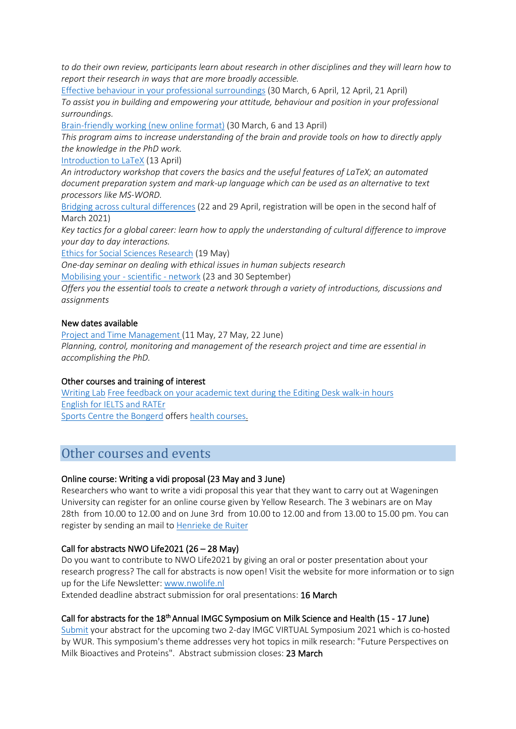*to do their own review, participants learn about research in other disciplines and they will learn how to report their research in ways that are more broadly accessible.*

[Effective behaviour in your professional surroundings](https://eur03.safelinks.protection.outlook.com/?url=https%3A%2F%2Fwgs.crs.wur.nl%2Fcourses%2Fdetails%2F74&data=04%7C01%7Cvlag%40wur.nl%7C8801fdaec24248612fb708d8dfd6fb8e%7C27d137e5761f4dc1af88d26430abb18f%7C0%7C0%7C637505461792332211%7CUnknown%7CTWFpbGZsb3d8eyJWIjoiMC4wLjAwMDAiLCJQIjoiV2luMzIiLCJBTiI6Ik1haWwiLCJXVCI6Mn0%3D%7C1000&sdata=ReLPlqOZaa6j4sObCan%2FQetKd56P%2F0z5a4QYTO1BJDc%3D&reserved=0) (30 March, 6 April, 12 April, 21 April) *To assist you in building and empowering your attitude, behaviour and position in your professional surroundings.*

[Brain-friendly working \(new online format\)](https://eur03.safelinks.protection.outlook.com/?url=https%3A%2F%2Fwgs.crs.wur.nl%2Fcourses%2Fdetails%2F467%2F&data=04%7C01%7Cvlag%40wur.nl%7C8801fdaec24248612fb708d8dfd6fb8e%7C27d137e5761f4dc1af88d26430abb18f%7C0%7C0%7C637505461792332211%7CUnknown%7CTWFpbGZsb3d8eyJWIjoiMC4wLjAwMDAiLCJQIjoiV2luMzIiLCJBTiI6Ik1haWwiLCJXVCI6Mn0%3D%7C1000&sdata=18xo5B7o9ljwDpcRHK3pgcGXVhCJ2edVuLVi5qF0uos%3D&reserved=0) (30 March, 6 and 13 April)

*This program aims to increase understanding of the brain and provide tools on how to directly apply the knowledge in the PhD work.*

[Introduction to LaTeX](https://eur03.safelinks.protection.outlook.com/?url=https%3A%2F%2Fwww.pe-rc.nl%2Fla-tex&data=04%7C01%7Cvlag%40wur.nl%7C8801fdaec24248612fb708d8dfd6fb8e%7C27d137e5761f4dc1af88d26430abb18f%7C0%7C0%7C637505461792342204%7CUnknown%7CTWFpbGZsb3d8eyJWIjoiMC4wLjAwMDAiLCJQIjoiV2luMzIiLCJBTiI6Ik1haWwiLCJXVCI6Mn0%3D%7C1000&sdata=UOLYoX%2FyqzDId6PJ216UYX9TQzpsPGNXENyMJ6OWCQk%3D&reserved=0) (13 April)

*An introductory workshop that covers the basics and the useful features of LaTeX; an automated document preparation system and mark-up language which can be used as an alternative to text processors like MS-WORD.*

[Bridging across cultural differences](https://eur03.safelinks.protection.outlook.com/?url=https%3A%2F%2Fwgs.crs.wur.nl%2Fcourses%2Fdetails%2F115&data=04%7C01%7Cvlag%40wur.nl%7C8801fdaec24248612fb708d8dfd6fb8e%7C27d137e5761f4dc1af88d26430abb18f%7C0%7C0%7C637505461792342204%7CUnknown%7CTWFpbGZsb3d8eyJWIjoiMC4wLjAwMDAiLCJQIjoiV2luMzIiLCJBTiI6Ik1haWwiLCJXVCI6Mn0%3D%7C1000&sdata=xH8iQhGa%2BlT1m5c0t74nbZ9RyKeV5aCpLT06AyyTGKc%3D&reserved=0) (22 and 29 April, registration will be open in the second half of March 2021)

*Key tactics for a global career: learn how to apply the understanding of cultural difference to improve your day to day interactions.*

[Ethics for Social Sciences Research](https://eur03.safelinks.protection.outlook.com/?url=https%3A%2F%2Fwgs.crs.wur.nl%2Fcourses%2Fdetails%2F76&data=04%7C01%7Cvlag%40wur.nl%7C8801fdaec24248612fb708d8dfd6fb8e%7C27d137e5761f4dc1af88d26430abb18f%7C0%7C0%7C637505461792352194%7CUnknown%7CTWFpbGZsb3d8eyJWIjoiMC4wLjAwMDAiLCJQIjoiV2luMzIiLCJBTiI6Ik1haWwiLCJXVCI6Mn0%3D%7C1000&sdata=9T5eUjPZiPWn6DIupf8E7os0pyWPBrYW9dckVwfmoGI%3D&reserved=0) (19 May)

*One-day seminar on dealing with ethical issues in human subjects research* [Mobilising your -](https://eur03.safelinks.protection.outlook.com/?url=https%3A%2F%2Fwgs.crs.wur.nl%2Fcourses%2Fdetails%2F63&data=04%7C01%7Cvlag%40wur.nl%7C8801fdaec24248612fb708d8dfd6fb8e%7C27d137e5761f4dc1af88d26430abb18f%7C0%7C0%7C637505461792352194%7CUnknown%7CTWFpbGZsb3d8eyJWIjoiMC4wLjAwMDAiLCJQIjoiV2luMzIiLCJBTiI6Ik1haWwiLCJXVCI6Mn0%3D%7C1000&sdata=Ukr%2B0ZRnkUIPJlJsZDtJ%2FYgFoibbkUdfYul9MVes4xM%3D&reserved=0) scientific - network (23 and 30 September)

*Offers you the essential tools to create a network through a variety of introductions, discussions and assignments*

#### New dates available

[Project and Time Management \(](https://eur03.safelinks.protection.outlook.com/?url=https%3A%2F%2Fwgs.crs.wur.nl%2Fcourses%2Fdetails%2F34&data=04%7C01%7Cvlag%40wur.nl%7C8801fdaec24248612fb708d8dfd6fb8e%7C27d137e5761f4dc1af88d26430abb18f%7C0%7C0%7C637505461792362198%7CUnknown%7CTWFpbGZsb3d8eyJWIjoiMC4wLjAwMDAiLCJQIjoiV2luMzIiLCJBTiI6Ik1haWwiLCJXVCI6Mn0%3D%7C1000&sdata=Z65zC85P%2BNcZdOEUaQE4gLskR6gevER6R06%2FwHWVriQ%3D&reserved=0)11 May, 27 May, 22 June) *Planning, control, monitoring and management of the research project and time are essential in accomplishing the PhD.*

#### Other courses and training of interest

[Writing Lab](https://eur03.safelinks.protection.outlook.com/?url=http%3A%2F%2Fwww.wageningenur.nl%2Fen%2Farticle%2FWageningen-Writing-Lab-2.htm&data=04%7C01%7Cvlag%40wur.nl%7C8801fdaec24248612fb708d8dfd6fb8e%7C27d137e5761f4dc1af88d26430abb18f%7C0%7C0%7C637505461792372185%7CUnknown%7CTWFpbGZsb3d8eyJWIjoiMC4wLjAwMDAiLCJQIjoiV2luMzIiLCJBTiI6Ik1haWwiLCJXVCI6Mn0%3D%7C1000&sdata=wSEnp7BU4%2B9xN9LghSfNLlYX8AsVdMPTvnCsSS6p6Nc%3D&reserved=0) [Free feedback on your academic text during the Editing Desk walk-in hours](https://eur03.safelinks.protection.outlook.com/?url=http%3A%2F%2Fwww.wageningenur.nl%2Fen%2Farticle%2FWageningen-Writing-Lab-2.htm&data=04%7C01%7Cvlag%40wur.nl%7C8801fdaec24248612fb708d8dfd6fb8e%7C27d137e5761f4dc1af88d26430abb18f%7C0%7C0%7C637505461792372185%7CUnknown%7CTWFpbGZsb3d8eyJWIjoiMC4wLjAwMDAiLCJQIjoiV2luMzIiLCJBTiI6Ik1haWwiLCJXVCI6Mn0%3D%7C1000&sdata=wSEnp7BU4%2B9xN9LghSfNLlYX8AsVdMPTvnCsSS6p6Nc%3D&reserved=0) [English for IELTS and RATEr](https://eur03.safelinks.protection.outlook.com/?url=http%3A%2F%2Fwww.wur.nl%2Fen%2Fproduct%2FEnglish-for-IELTS-and-RATEr-2.htm&data=04%7C01%7Cvlag%40wur.nl%7C8801fdaec24248612fb708d8dfd6fb8e%7C27d137e5761f4dc1af88d26430abb18f%7C0%7C0%7C637505461792382175%7CUnknown%7CTWFpbGZsb3d8eyJWIjoiMC4wLjAwMDAiLCJQIjoiV2luMzIiLCJBTiI6Ik1haWwiLCJXVCI6Mn0%3D%7C1000&sdata=a%2FsTw5cOjfvSOCl5TemiAegUAPWaJFhDwq4rzSxprsI%3D&reserved=0) [Sports Centre the Bongerd](https://eur03.safelinks.protection.outlook.com/?url=http%3A%2F%2Fwww.wageningenur.nl%2Fen%2Fsports-centre-de-bongerd.htm&data=04%7C01%7Cvlag%40wur.nl%7C8801fdaec24248612fb708d8dfd6fb8e%7C27d137e5761f4dc1af88d26430abb18f%7C0%7C0%7C637505461792382175%7CUnknown%7CTWFpbGZsb3d8eyJWIjoiMC4wLjAwMDAiLCJQIjoiV2luMzIiLCJBTiI6Ik1haWwiLCJXVCI6Mn0%3D%7C1000&sdata=ehtPJchawsezdWQbChaP5Vz0u5wf1mSqFgjhJ5xkPS0%3D&reserved=0) offers [health courses.](https://eur03.safelinks.protection.outlook.com/?url=https%3A%2F%2Fsporthalreservering.mendixcloud.com%2Findex.html&data=04%7C01%7Cvlag%40wur.nl%7C8801fdaec24248612fb708d8dfd6fb8e%7C27d137e5761f4dc1af88d26430abb18f%7C0%7C0%7C637505461792392174%7CUnknown%7CTWFpbGZsb3d8eyJWIjoiMC4wLjAwMDAiLCJQIjoiV2luMzIiLCJBTiI6Ik1haWwiLCJXVCI6Mn0%3D%7C1000&sdata=A4npLvTDMQgkdxGsL5kp8KK0%2FLlyll2qLftD28V2X5M%3D&reserved=0)

## <span id="page-4-0"></span>Other courses and events

#### Online course: Writing a vidi proposal (23 May and 3 June)

Researchers who want to write a vidi proposal this year that they want to carry out at Wageningen University can register for an online course given by Yellow Research. The 3 webinars are on May 28th from 10.00 to 12.00 and on June 3rd from 10.00 to 12.00 and from 13.00 to 15.00 pm. You can register by sending an mail t[o Henrieke de Ruiter](mailto:henrieke.deruiter@wur.nl)

#### Call for abstracts NWO Life2021 (26 – 28 May)

Do you want to contribute to NWO Life2021 by giving an oral or poster presentation about your research progress? The call for abstracts is now open! Visit the website for more information or to sign up for the Life Newsletter[: www.nwolife.nl](https://eur03.safelinks.protection.outlook.com/?url=http%3A%2F%2Fwww.nwolife.nl%2F&data=04%7C01%7Cvlag%40wur.nl%7C8801fdaec24248612fb708d8dfd6fb8e%7C27d137e5761f4dc1af88d26430abb18f%7C0%7C0%7C637505461792392174%7CUnknown%7CTWFpbGZsb3d8eyJWIjoiMC4wLjAwMDAiLCJQIjoiV2luMzIiLCJBTiI6Ik1haWwiLCJXVCI6Mn0%3D%7C1000&sdata=wftyv39yCxI3I8uI8GDlwP78XaNS2ZOKNF0Wq4MFRGg%3D&reserved=0)

Extended deadline abstract submission for oral presentations: 16 March

## Call for abstracts for the 18<sup>th</sup> Annual IMGC Symposium on Milk Science and Health (15 - 17 June)

[Submit](https://eur03.safelinks.protection.outlook.com/?url=https%3A%2F%2Fpheedloop.com%2FEVETAXPXMTAOE%2Fproposal%2Fstart%2F%3Fcall%3DCALOCDJ6QDSOQO4&data=04%7C01%7Cvlag%40wur.nl%7C8801fdaec24248612fb708d8dfd6fb8e%7C27d137e5761f4dc1af88d26430abb18f%7C0%7C0%7C637505461792402168%7CUnknown%7CTWFpbGZsb3d8eyJWIjoiMC4wLjAwMDAiLCJQIjoiV2luMzIiLCJBTiI6Ik1haWwiLCJXVCI6Mn0%3D%7C1000&sdata=DB9l1wMnysPsnuP8OC1q9sVknILKUcQy8pg0aFDRROM%3D&reserved=0) your abstract for the upcoming two 2-day IMGC VIRTUAL Symposium 2021 which is co-hosted by WUR. This symposium's theme addresses very hot topics in milk research: "Future Perspectives on Milk Bioactives and Proteins". Abstract submission closes: 23 March